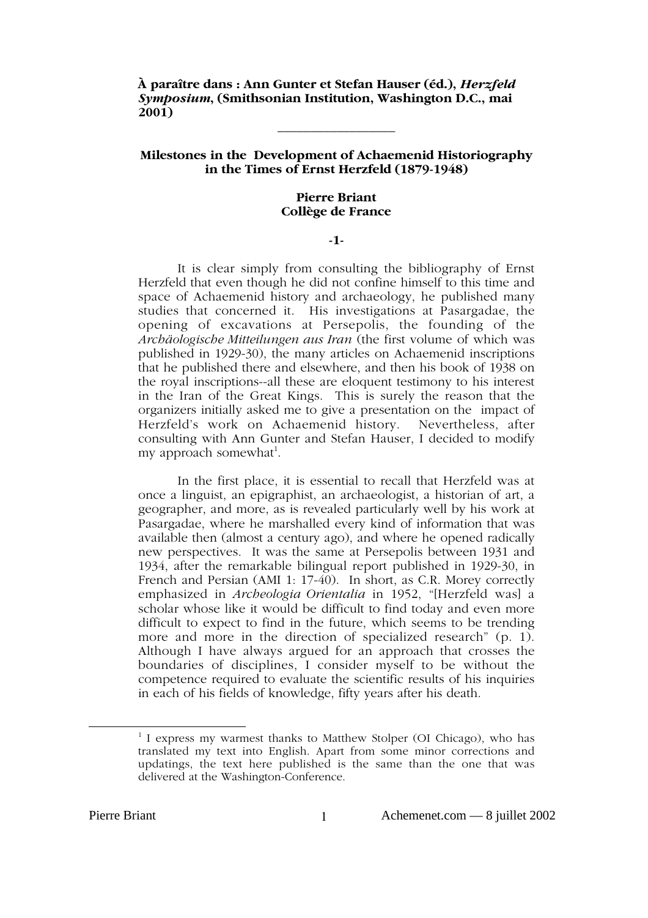**À paraître dans : Ann Gunter et Stefan Hauser (éd.),** *Herzfeld Symposium***, (Smithsonian Institution, Washington D.C., mai 2001)**

# **Milestones in the Development of Achaemenid Historiography in the Times of Ernst Herzfeld (1879-1948)**

**\_\_\_\_\_\_\_\_\_\_\_\_\_\_\_\_\_\_**

### **Pierre Briant Collège de France**

## **-1-**

It is clear simply from consulting the bibliography of Ernst Herzfeld that even though he did not confine himself to this time and space of Achaemenid history and archaeology, he published many studies that concerned it. His investigations at Pasargadae, the opening of excavations at Persepolis, the founding of the *Archäologische Mitteilungen aus Iran* (the first volume of which was published in 1929-30), the many articles on Achaemenid inscriptions that he published there and elsewhere, and then his book of 1938 on the royal inscriptions--all these are eloquent testimony to his interest in the Iran of the Great Kings. This is surely the reason that the organizers initially asked me to give a presentation on the impact of Herzfeld's work on Achaemenid history. Nevertheless, after Herzfeld's work on Achaemenid history. consulting with Ann Gunter and Stefan Hauser, I decided to modify my approach somewhat<sup>1</sup>.

In the first place, it is essential to recall that Herzfeld was at once a linguist, an epigraphist, an archaeologist, a historian of art, a geographer, and more, as is revealed particularly well by his work at Pasargadae, where he marshalled every kind of information that was available then (almost a century ago), and where he opened radically new perspectives. It was the same at Persepolis between 1931 and 1934, after the remarkable bilingual report published in 1929-30, in French and Persian (AMI 1: 17-40). In short, as C.R. Morey correctly emphasized in *Archeologia Orientalia* in 1952, "[Herzfeld was] a scholar whose like it would be difficult to find today and even more difficult to expect to find in the future, which seems to be trending more and more in the direction of specialized research" (p. 1). Although I have always argued for an approach that crosses the boundaries of disciplines, I consider myself to be without the competence required to evaluate the scientific results of his inquiries in each of his fields of knowledge, fifty years after his death.

<sup>1</sup>  $1$  I express my warmest thanks to Matthew Stolper (OI Chicago), who has translated my text into English. Apart from some minor corrections and updatings, the text here published is the same than the one that was delivered at the Washington-Conference.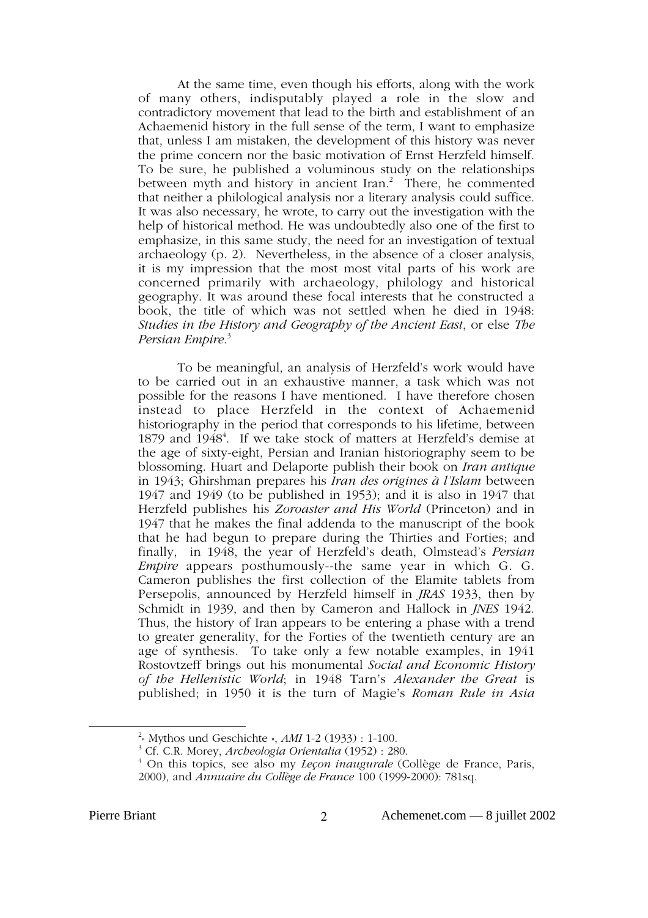At the same time, even though his efforts, along with the work of many others, indisputably played a role in the slow and contradictory movement that lead to the birth and establishment of an Achaemenid history in the full sense of the term, I want to emphasize that, unless I am mistaken, the development of this history was never the prime concern nor the basic motivation of Ernst Herzfeld himself. To be sure, he published a voluminous study on the relationships between myth and history in ancient Iran.<sup>2</sup> There, he commented that neither a philological analysis nor a literary analysis could suffice. It was also necessary, he wrote, to carry out the investigation with the help of historical method. He was undoubtedly also one of the first to emphasize, in this same study, the need for an investigation of textual archaeology (p. 2). Nevertheless, in the absence of a closer analysis, it is my impression that the most most vital parts of his work are concerned primarily with archaeology, philology and historical geography. It was around these focal interests that he constructed a book, the title of which was not settled when he died in 1948: *Studies in the History and Geography of the Ancient East*, or else *The Persian Empire*. 3

To be meaningful, an analysis of Herzfeld's work would have to be carried out in an exhaustive manner, a task which was not possible for the reasons I have mentioned. I have therefore chosen instead to place Herzfeld in the context of Achaemenid historiography in the period that corresponds to his lifetime, between 1879 and 1948<sup>4</sup>. If we take stock of matters at Herzfeld's demise at the age of sixty-eight, Persian and Iranian historiography seem to be blossoming. Huart and Delaporte publish their book on *Iran antique* in 1943; Ghirshman prepares his *Iran des origines à l'Islam* between 1947 and 1949 (to be published in 1953); and it is also in 1947 that Herzfeld publishes his *Zoroaster and His World* (Princeton) and in 1947 that he makes the final addenda to the manuscript of the book that he had begun to prepare during the Thirties and Forties; and finally, in 1948, the year of Herzfeld's death, Olmstead's *Persian Empire* appears posthumously--the same year in which G. G. Cameron publishes the first collection of the Elamite tablets from Persepolis, announced by Herzfeld himself in *JRAS* 1933, then by Schmidt in 1939, and then by Cameron and Hallock in *JNES* 1942. Thus, the history of Iran appears to be entering a phase with a trend to greater generality, for the Forties of the twentieth century are an age of synthesis. To take only a few notable examples, in 1941 Rostovtzeff brings out his monumental *Social and Economic History of the Hellenistic World*; in 1948 Tarn's *Alexander the Great* is published; in 1950 it is the turn of Magie's *Roman Rule in Asia*

<sup>2</sup> « Mythos und Geschichte », *AMI* 1-2 (1933) : 1-100.

<sup>3</sup> Cf. C.R. Morey, *Archeologia Orientalia* (1952) : 280.

<sup>4</sup> On this topics, see also my *Leçon inaugurale* (Collège de France, Paris, 2000), and *Annuaire du Collège de France* 100 (1999-2000): 781sq.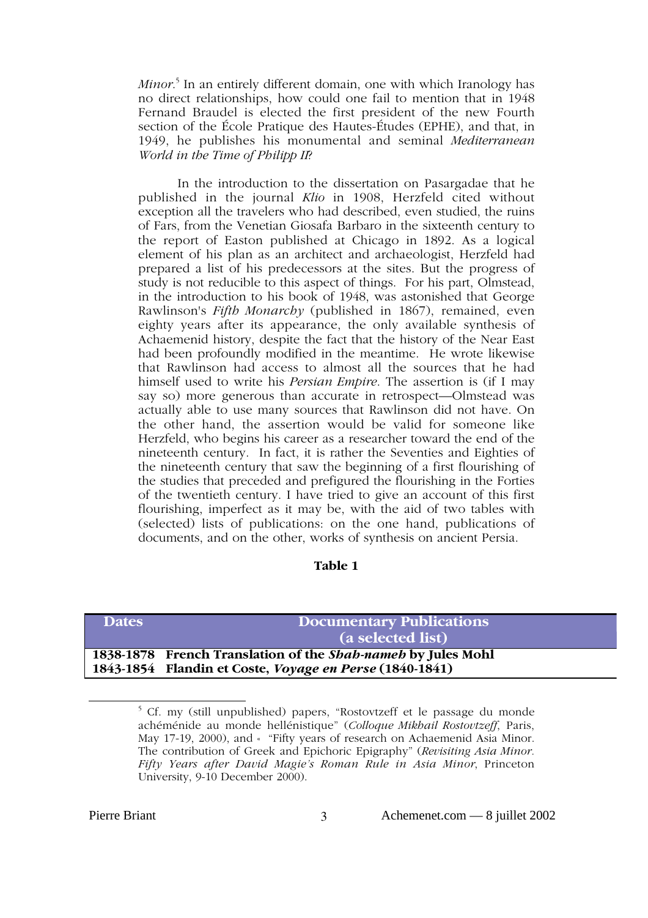*Minor*. 5 In an entirely different domain, one with which Iranology has no direct relationships, how could one fail to mention that in 1948 Fernand Braudel is elected the first president of the new Fourth section of the École Pratique des Hautes-Études (EPHE), and that, in 1949, he publishes his monumental and seminal *Mediterranean World in the Time of Philipp II*?

In the introduction to the dissertation on Pasargadae that he published in the journal *Klio* in 1908, Herzfeld cited without exception all the travelers who had described, even studied, the ruins of Fars, from the Venetian Giosafa Barbaro in the sixteenth century to the report of Easton published at Chicago in 1892. As a logical element of his plan as an architect and archaeologist, Herzfeld had prepared a list of his predecessors at the sites. But the progress of study is not reducible to this aspect of things. For his part, Olmstead, in the introduction to his book of 1948, was astonished that George Rawlinson's *Fifth Monarchy* (published in 1867), remained, even eighty years after its appearance, the only available synthesis of Achaemenid history, despite the fact that the history of the Near East had been profoundly modified in the meantime. He wrote likewise that Rawlinson had access to almost all the sources that he had himself used to write his *Persian Empire*. The assertion is (if I may say so) more generous than accurate in retrospect—Olmstead was actually able to use many sources that Rawlinson did not have. On the other hand, the assertion would be valid for someone like Herzfeld, who begins his career as a researcher toward the end of the nineteenth century. In fact, it is rather the Seventies and Eighties of the nineteenth century that saw the beginning of a first flourishing of the studies that preceded and prefigured the flourishing in the Forties of the twentieth century. I have tried to give an account of this first flourishing, imperfect as it may be, with the aid of two tables with (selected) lists of publications: on the one hand, publications of documents, and on the other, works of synthesis on ancient Persia.

# **Table 1**

| <b>Dates</b> | <b>Documentary Publications</b><br>(a selected list)                                                                    |
|--------------|-------------------------------------------------------------------------------------------------------------------------|
|              | 1838-1878 French Translation of the Shah-nameh by Jules Mohl<br>1843-1854 Flandin et Coste, Voyage en Perse (1840-1841) |

 $\frac{1}{5}$  $5$  Cf. my (still unpublished) papers, "Rostovtzeff et le passage du monde achéménide au monde hellénistique" (*Colloque Mikhail Rostovtzeff*, Paris, May 17-19, 2000), and « "Fifty years of research on Achaemenid Asia Minor. The contribution of Greek and Epichoric Epigraphy" (*Revisiting Asia Minor. Fifty Years after David Magie's Roman Rule in Asia Minor*, Princeton University, 9-10 December 2000).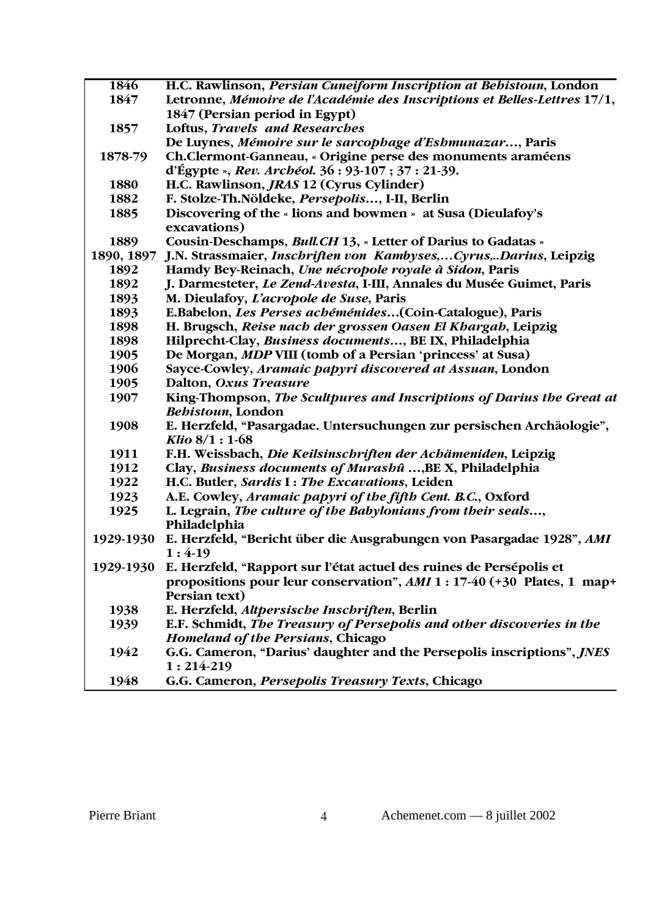| 1846       | H.C. Rawlinson, <i>Persian Cuneiform Inscription at Behistoun</i> , London                                 |
|------------|------------------------------------------------------------------------------------------------------------|
| 1847       | Letronne, Mémoire de l'Académie des Inscriptions et Belles-Lettres 17/1,                                   |
|            | 1847 (Persian period in Egypt)                                                                             |
| 1857       | <b>Loftus, Travels and Researches</b>                                                                      |
|            | De Luynes, Mémoire sur le sarcophage d'Eshmunazar, Paris                                                   |
| 1878-79    | Ch.Clermont-Ganneau, « Origine perse des monuments araméens                                                |
|            | d'Égypte », Rev. Archéol. $36:93-107:37:21-39$ .                                                           |
| 1880       | H.C. Rawlinson, <i>JRAS</i> 12 (Cyrus Cylinder)                                                            |
| 1882       | F. Stolze-Th.Nöldeke, Persepolis, I-II, Berlin                                                             |
| 1885       | Discovering of the « lions and bowmen » at Susa (Dieulafoy's                                               |
|            | excavations)                                                                                               |
| 1889       | Cousin-Deschamps, Bull.CH 13, « Letter of Darius to Gadatas »                                              |
| 1890, 1897 | J.N. Strassmaier, Inschriften von Kambyses,Cyrus,Darius, Leipzig                                           |
| 1892       | Hamdy Bey-Reinach, Une nécropole royale à Sidon, Paris                                                     |
| 1892       | J. Darmesteter, Le Zend-Avesta, I-III, Annales du Musée Guimet, Paris                                      |
| 1893       | M. Dieulafoy, L'acropole de Suse, Paris                                                                    |
| 1893       | E.Babelon, Les Perses achéménides(Coin-Catalogue), Paris                                                   |
| 1898       | H. Brugsch, Reise nach der grossen Oasen El Khargah, Leipzig                                               |
| 1898       | Hilprecht-Clay, Business documents, BE IX, Philadelphia                                                    |
| 1905       | De Morgan, <i>MDP</i> VIII (tomb of a Persian 'princess' at Susa)                                          |
| 1906       | Sayce-Cowley, Aramaic papyri discovered at Assuan, London                                                  |
| 1905       | Dalton, Oxus Treasure                                                                                      |
| 1907       | King-Thompson, The Scultpures and Inscriptions of Darius the Great at                                      |
|            | Behistoun, London                                                                                          |
| 1908       | E. Herzfeld, "Pasargadae. Untersuchungen zur persischen Archäologie",                                      |
|            | Klio $8/1:1-68$                                                                                            |
| 1911       | F.H. Weissbach, Die Keilsinschriften der Achämeniden, Leipzig                                              |
| 1912       | Clay, Business documents of Murashû , BE X, Philadelphia                                                   |
| 1922       | H.C. Butler, Sardis I: The Excavations, Leiden                                                             |
| 1923       | A.E. Cowley, Aramaic papyri of the fifth Cent. B.C., Oxford                                                |
| 1925       | L. Legrain, The culture of the Babylonians from their seals,                                               |
|            | Philadelphia                                                                                               |
| 1929-1930  | E. Herzfeld, "Bericht über die Ausgrabungen von Pasargadae 1928", AMI                                      |
|            | $1:4-19$                                                                                                   |
|            | 1929-1930 E. Herzfeld, "Rapport sur l'état actuel des ruines de Persépolis et                              |
|            | propositions pour leur conservation", AMI 1 : 17-40 (+30 Plates, 1 map+                                    |
|            | Persian text)                                                                                              |
| 1938       | E. Herzfeld, Altpersische Inschriften, Berlin                                                              |
| 1939       | E.F. Schmidt, The Treasury of Persepolis and other discoveries in the<br>Homeland of the Persians, Chicago |
| 1942       |                                                                                                            |
|            | G.G. Cameron, "Darius' daughter and the Persepolis inscriptions", <i>JNES</i><br>$1:214-219$               |
|            |                                                                                                            |
| 1948       | G.G. Cameron, Persepolis Treasury Texts, Chicago                                                           |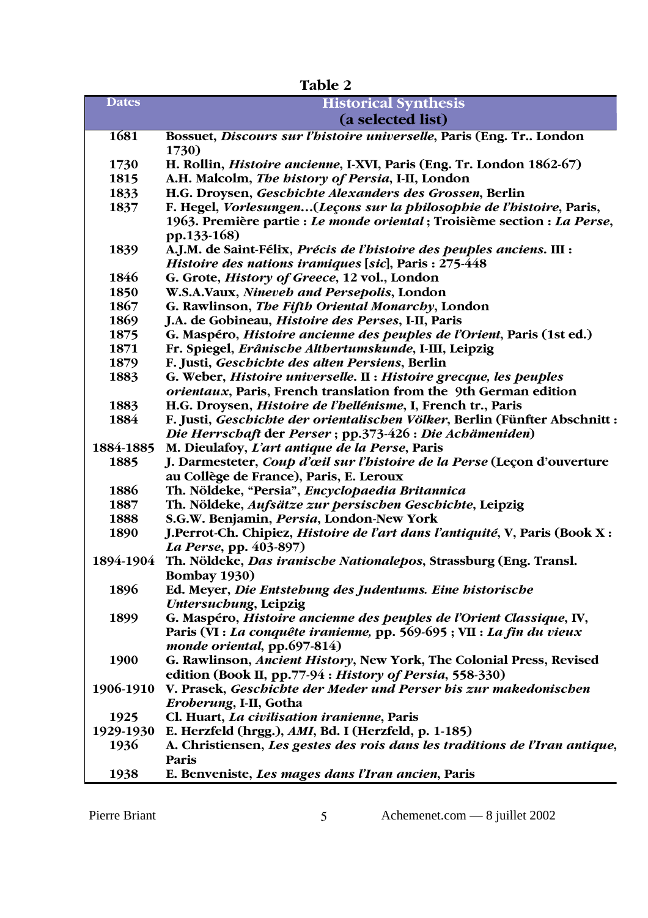**Table 2 Dates Historical Synthesis (a selected list) 1681 Bossuet,** *Discours sur l'histoire universelle***, Paris (Eng. Tr.. London 1730) 1730 H. Rollin,** *Histoire ancienne***, I-XVI, Paris (Eng. Tr. London 1862-67) 1815 A.H. Malcolm,** *The history of Persia***, I-II, London 1833 H.G. Droysen,** *Geschichte Alexanders des Grossen***, Berlin 1837 F. Hegel,** *Vorlesungen***…(***Leçons sur la philosophie de l'histoire***, Paris, 1963. Première partie :** *Le monde oriental* **; Troisième section :** *La Perse***, pp.133-168) 1839 A.J.M. de Saint-Félix,** *Précis de l'histoire des peuples anciens***. III :** *Histoire des nations iramiques* **[***sic***], Paris : 275-448 1846 G. Grote,** *History of Greece***, 12 vol., London 1850 W.S.A.Vaux,** *Nineveh and Persepolis***, London 1867 G. Rawlinson,** *The Fifth Oriental Monarchy***, London 1869 J.A. de Gobineau,** *Histoire des Perses***, I-II, Paris 1875 G. Maspéro,** *Histoire ancienne des peuples de l'Orient***, Paris (1st ed.) 1871 Fr. Spiegel,** *Erânische Althertumskunde***, I-III, Leipzig 1879 F. Justi,** *Geschichte des alten Persiens***, Berlin 1883 G. Weber,** *Histoire universelle***. II :** *Histoire grecque, les peuples orientaux***, Paris, French translation from the 9th German edition 1883 H.G. Droysen,** *Histoire de l'hellénisme***, I, French tr., Paris 1884 F. Justi,** *Geschichte der orientalischen Völker***, Berlin (Fünfter Abschnitt :** *Die Herrschaft* **der** *Perser* **; pp.373-426 :** *Die Achämeniden***) 1884-1885 M. Dieulafoy,** *L'art antique de la Perse***, Paris 1885 J. Darmesteter,** *Coup d'œil sur l'histoire de la Perse* **(Leçon d'ouverture au Collège de France), Paris, E. Leroux 1886 Th. Nöldeke, "Persia",** *Encyclopaedia Britannica* **1887 Th. Nöldeke,** *Aufsätze zur persischen Geschichte***, Leipzig 1888 S.G.W. Benjamin,** *Persia***, London-New York 1890 J.Perrot-Ch. Chipiez,** *Histoire de l'art dans l'antiquité***, V, Paris (Book X :** *La Perse***, pp. 403-897) 1894-1904 Th. Nöldeke,** *Das iranische Nationalepos***, Strassburg (Eng. Transl. Bombay 1930) 1896 Ed. Meyer,** *Die Entstehung des Judentums. Eine historische Untersuchung***, Leipzig 1899 G. Maspéro,** *Histoire ancienne des peuples de l'Orient Classique***, IV, Paris (VI :** *La conquête iranienne,* **pp. 569-695 ; VII :** *La fin du vieux monde oriental***, pp.697-814) 1900 G. Rawlinson,** *Ancient History***, New York, The Colonial Press, Revised edition (Book II, pp.77-94 :** *History of Persia***, 558-330) 1906-1910 V. Prasek,** *Geschichte der Meder und Perser bis zur makedonischen Eroberung***, I-II, Gotha 1925 Cl. Huart,** *La civilisation iranienne***, Paris 1929-1930 E. Herzfeld (hrgg.),** *AMI***, Bd. I (Herzfeld, p. 1-185) 1936 A. Christiensen,** *Les gestes des rois dans les traditions de l'Iran antique***, Paris 1938 E. Benveniste,** *Les mages dans l'Iran ancien***, Paris**

Pierre Briant 5 Achemenet.com — 8 juillet 2002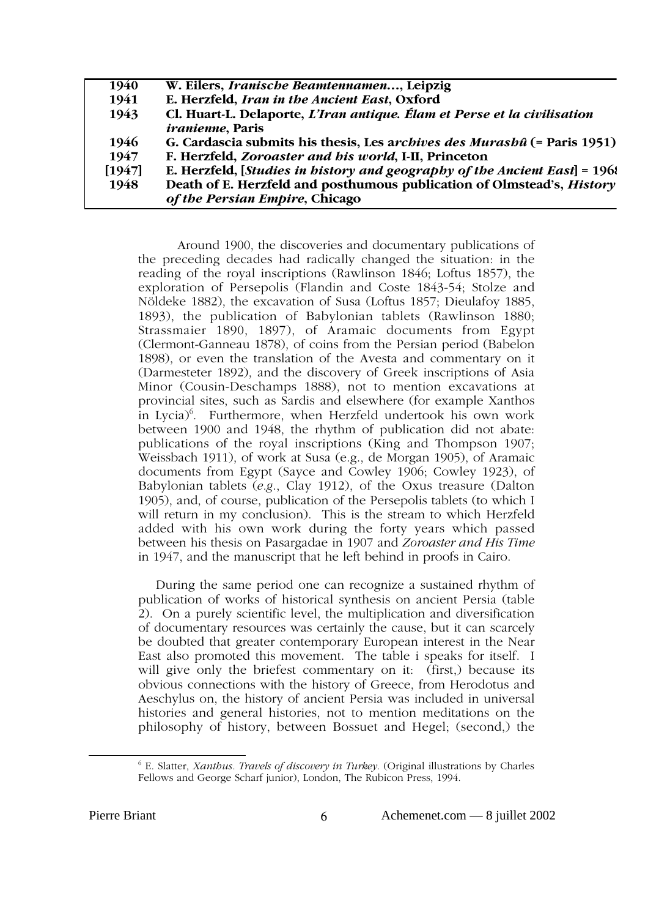| 1940   | W. Eilers, <i>Iranische Beamtennamen</i> , Leipzig                         |
|--------|----------------------------------------------------------------------------|
| 1941   | E. Herzfeld, Iran in the Ancient East, Oxford                              |
| 1943   | Cl. Huart-L. Delaporte, L'Iran antique. Élam et Perse et la civilisation   |
|        | <i>iranienne</i> , Paris                                                   |
| 1946   | G. Cardascia submits his thesis, Les archives des Murashû (= Paris 1951)   |
| 1947   | F. Herzfeld, Zoroaster and his world, I-II, Princeton                      |
| [1947] | E. Herzfeld, [Studies in history and geography of the Ancient East] = 1968 |
| 1948   | Death of E. Herzfeld and posthumous publication of Olmstead's, History     |
|        | of the Persian Empire, Chicago                                             |
|        |                                                                            |

Around 1900, the discoveries and documentary publications of the preceding decades had radically changed the situation: in the reading of the royal inscriptions (Rawlinson 1846; Loftus 1857), the exploration of Persepolis (Flandin and Coste 1843-54; Stolze and Nöldeke 1882), the excavation of Susa (Loftus 1857; Dieulafoy 1885, 1893), the publication of Babylonian tablets (Rawlinson 1880; Strassmaier 1890, 1897), of Aramaic documents from Egypt (Clermont-Ganneau 1878), of coins from the Persian period (Babelon 1898), or even the translation of the Avesta and commentary on it (Darmesteter 1892), and the discovery of Greek inscriptions of Asia Minor (Cousin-Deschamps 1888), not to mention excavations at provincial sites, such as Sardis and elsewhere (for example Xanthos in Lycia) $^6$ . Furthermore, when Herzfeld undertook his own work between 1900 and 1948, the rhythm of publication did not abate: publications of the royal inscriptions (King and Thompson 1907; Weissbach 1911), of work at Susa (e.g., de Morgan 1905), of Aramaic documents from Egypt (Sayce and Cowley 1906; Cowley 1923), of Babylonian tablets (*e.g*., Clay 1912), of the Oxus treasure (Dalton 1905), and, of course, publication of the Persepolis tablets (to which I will return in my conclusion). This is the stream to which Herzfeld added with his own work during the forty years which passed between his thesis on Pasargadae in 1907 and *Zoroaster and His Time* in 1947, and the manuscript that he left behind in proofs in Cairo.

During the same period one can recognize a sustained rhythm of publication of works of historical synthesis on ancient Persia (table 2). On a purely scientific level, the multiplication and diversification of documentary resources was certainly the cause, but it can scarcely be doubted that greater contemporary European interest in the Near East also promoted this movement. The table i speaks for itself. I will give only the briefest commentary on it: (first,) because its obvious connections with the history of Greece, from Herodotus and Aeschylus on, the history of ancient Persia was included in universal histories and general histories, not to mention meditations on the philosophy of history, between Bossuet and Hegel; (second,) the

 $\overline{6}$  E. Slatter, *Xanthus. Travels of discovery in Turkey*. (Original illustrations by Charles Fellows and George Scharf junior), London, The Rubicon Press, 1994.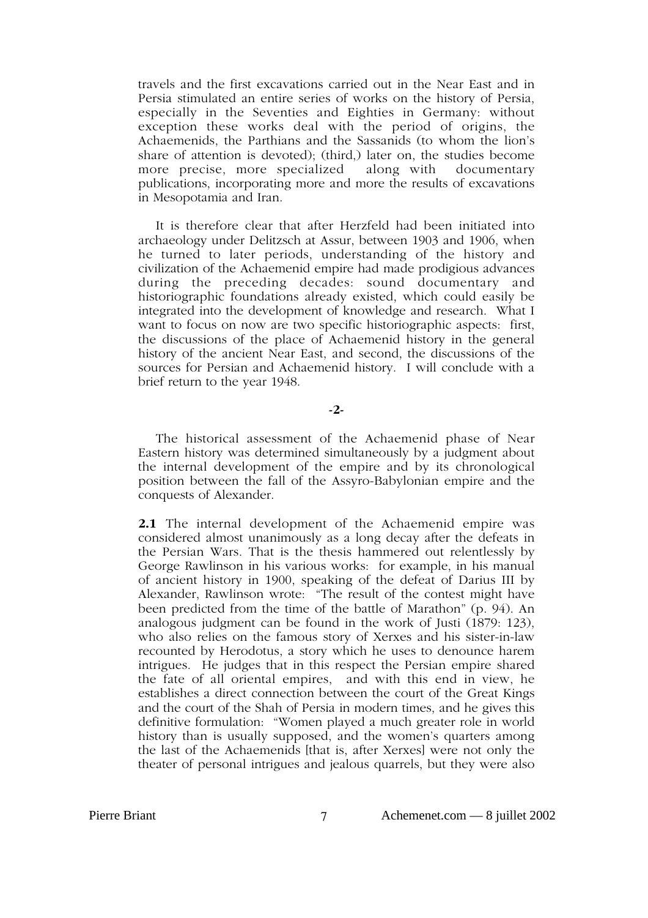travels and the first excavations carried out in the Near East and in Persia stimulated an entire series of works on the history of Persia, especially in the Seventies and Eighties in Germany: without exception these works deal with the period of origins, the Achaemenids, the Parthians and the Sassanids (to whom the lion's share of attention is devoted); (third,) later on, the studies become more precise, more specialized along with documentary publications, incorporating more and more the results of excavations in Mesopotamia and Iran.

It is therefore clear that after Herzfeld had been initiated into archaeology under Delitzsch at Assur, between 1903 and 1906, when he turned to later periods, understanding of the history and civilization of the Achaemenid empire had made prodigious advances during the preceding decades: sound documentary and historiographic foundations already existed, which could easily be integrated into the development of knowledge and research. What I want to focus on now are two specific historiographic aspects: first, the discussions of the place of Achaemenid history in the general history of the ancient Near East, and second, the discussions of the sources for Persian and Achaemenid history. I will conclude with a brief return to the year 1948.

**-2-**

The historical assessment of the Achaemenid phase of Near Eastern history was determined simultaneously by a judgment about the internal development of the empire and by its chronological position between the fall of the Assyro-Babylonian empire and the conquests of Alexander.

**2.1** The internal development of the Achaemenid empire was considered almost unanimously as a long decay after the defeats in the Persian Wars. That is the thesis hammered out relentlessly by George Rawlinson in his various works: for example, in his manual of ancient history in 1900, speaking of the defeat of Darius III by Alexander, Rawlinson wrote: "The result of the contest might have been predicted from the time of the battle of Marathon" (p. 94). An analogous judgment can be found in the work of Justi (1879: 123), who also relies on the famous story of Xerxes and his sister-in-law recounted by Herodotus, a story which he uses to denounce harem intrigues. He judges that in this respect the Persian empire shared the fate of all oriental empires, and with this end in view, he establishes a direct connection between the court of the Great Kings and the court of the Shah of Persia in modern times, and he gives this definitive formulation: "Women played a much greater role in world history than is usually supposed, and the women's quarters among the last of the Achaemenids [that is, after Xerxes] were not only the theater of personal intrigues and jealous quarrels, but they were also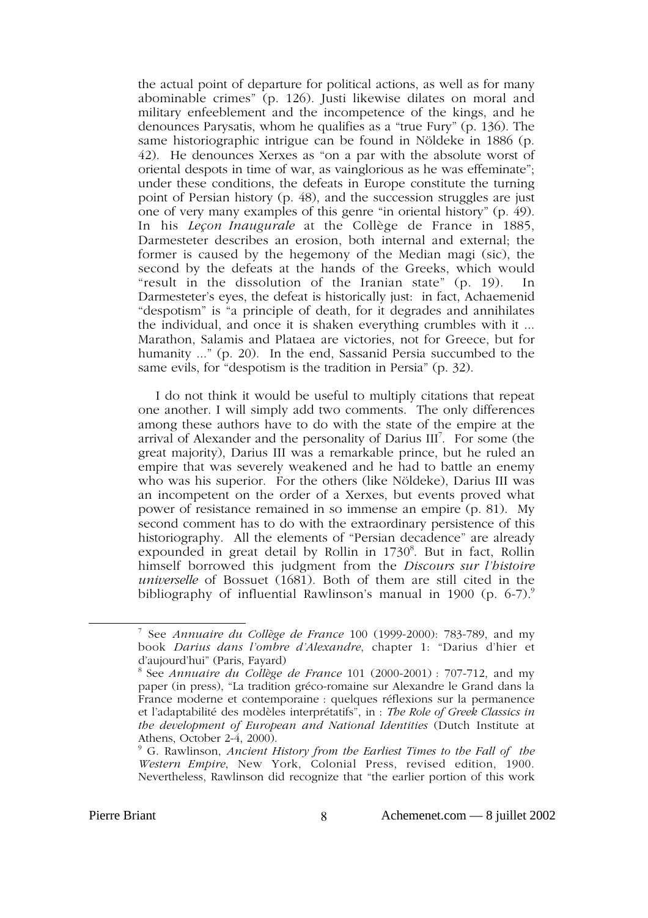the actual point of departure for political actions, as well as for many abominable crimes" (p. 126). Justi likewise dilates on moral and military enfeeblement and the incompetence of the kings, and he denounces Parysatis, whom he qualifies as a "true Fury" (p. 136). The same historiographic intrigue can be found in Nöldeke in 1886 (p. 42). He denounces Xerxes as "on a par with the absolute worst of oriental despots in time of war, as vainglorious as he was effeminate"; under these conditions, the defeats in Europe constitute the turning point of Persian history (p. 48), and the succession struggles are just one of very many examples of this genre "in oriental history" (p. 49). In his *Leçon Inaugurale* at the Collège de France in 1885, Darmesteter describes an erosion, both internal and external; the former is caused by the hegemony of the Median magi (sic), the second by the defeats at the hands of the Greeks, which would "result in the dissolution of the Iranian state" (p. 19). In Darmesteter's eyes, the defeat is historically just: in fact, Achaemenid "despotism" is "a principle of death, for it degrades and annihilates the individual, and once it is shaken everything crumbles with it ... Marathon, Salamis and Plataea are victories, not for Greece, but for humanity ..." (p. 20). In the end, Sassanid Persia succumbed to the same evils, for "despotism is the tradition in Persia" (p. 32).

I do not think it would be useful to multiply citations that repeat one another. I will simply add two comments. The only differences among these authors have to do with the state of the empire at the arrival of Alexander and the personality of Darius III<sup>7</sup>. For some (the great majority), Darius III was a remarkable prince, but he ruled an empire that was severely weakened and he had to battle an enemy who was his superior. For the others (like Nöldeke), Darius III was an incompetent on the order of a Xerxes, but events proved what power of resistance remained in so immense an empire (p. 81). My second comment has to do with the extraordinary persistence of this historiography. All the elements of "Persian decadence" are already expounded in great detail by Rollin in 1730<sup>8</sup>. But in fact, Rollin himself borrowed this judgment from the *Discours sur l'histoire universelle* of Bossuet (1681). Both of them are still cited in the bibliography of influential Rawlinson's manual in 1900 (p.  $6-7$ ).<sup>9</sup>

 $\overline{7}$  See *Annuaire du Collège de France* 100 (1999-2000): 783-789, and my book *Darius dans l'ombre d'Alexandre*, chapter 1: "Darius d'hier et d'aujourd'hui" (Paris, Fayard)

<sup>8</sup> See *Annuaire du Collège de France* 101 (2000-2001) : 707-712, and my paper (in press), "La tradition gréco-romaine sur Alexandre le Grand dans la France moderne et contemporaine : quelques réflexions sur la permanence et l'adaptabilité des modèles interprétatifs", in : *The Role of Greek Classics in the development of European and National Identities* (Dutch Institute at Athens, October 2-4, 2000).

<sup>9</sup> G. Rawlinson, *Ancient History from the Earliest Times to the Fall of the Western Empire*, New York, Colonial Press, revised edition, 1900. Nevertheless, Rawlinson did recognize that "the earlier portion of this work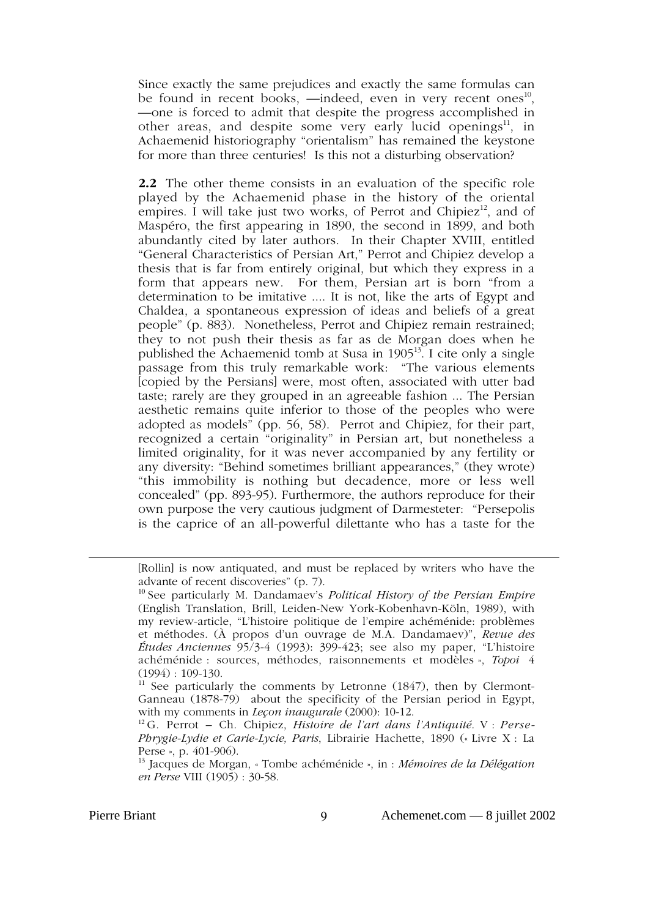Since exactly the same prejudices and exactly the same formulas can be found in recent books,  $-$ indeed, even in very recent ones<sup>10</sup>, —one is forced to admit that despite the progress accomplished in other areas, and despite some very early lucid openings<sup>11</sup>, in Achaemenid historiography "orientalism" has remained the keystone for more than three centuries! Is this not a disturbing observation?

**2.2** The other theme consists in an evaluation of the specific role played by the Achaemenid phase in the history of the oriental empires. I will take just two works, of Perrot and Chipiez<sup>12</sup>, and of Maspéro, the first appearing in 1890, the second in 1899, and both abundantly cited by later authors. In their Chapter XVIII, entitled "General Characteristics of Persian Art," Perrot and Chipiez develop a thesis that is far from entirely original, but which they express in a form that appears new. For them, Persian art is born "from a determination to be imitative .... It is not, like the arts of Egypt and Chaldea, a spontaneous expression of ideas and beliefs of a great people" (p. 883). Nonetheless, Perrot and Chipiez remain restrained; they to not push their thesis as far as de Morgan does when he published the Achaemenid tomb at Susa in  $1905^{13}$ . I cite only a single passage from this truly remarkable work: "The various elements [copied by the Persians] were, most often, associated with utter bad taste; rarely are they grouped in an agreeable fashion ... The Persian aesthetic remains quite inferior to those of the peoples who were adopted as models" (pp. 56, 58). Perrot and Chipiez, for their part, recognized a certain "originality" in Persian art, but nonetheless a limited originality, for it was never accompanied by any fertility or any diversity: "Behind sometimes brilliant appearances," (they wrote) "this immobility is nothing but decadence, more or less well concealed" (pp. 893-95). Furthermore, the authors reproduce for their own purpose the very cautious judgment of Darmesteter: "Persepolis is the caprice of an all-powerful dilettante who has a taste for the

<sup>11</sup> See particularly the comments by Letronne  $(1847)$ , then by Clermont-Ganneau (1878-79) about the specificity of the Persian period in Egypt, with my comments in *Leçon inaugurale* (2000): 10-12.

13 Jacques de Morgan, « Tombe achéménide », in : *Mémoires de la Délégation en Perse* VIII (1905) : 30-58.

[Rollin] is now antiquated, and must be replaced by writers who have the advante of recent discoveries" (p. 7).

<sup>10</sup> See particularly M. Dandamaev's *Political History of the Persian Empire* (English Translation, Brill, Leiden-New York-Kobenhavn-Köln, 1989), with my review-article, "L'histoire politique de l'empire achéménide: problèmes et méthodes. (À propos d'un ouvrage de M.A. Dandamaev)", *Revue des Études Anciennes* 95/3-4 (1993): 399-423; see also my paper, "L'histoire achéménide : sources, méthodes, raisonnements et modèles », *Topoi* 4  $(1994): 109-130.$ 

<sup>12</sup> G. Perrot – Ch. Chipiez, *Histoire de l'art dans l'Antiquité*. V : *Perse-Phrygie-Lydie et Carie-Lycie, Paris*, Librairie Hachette, 1890 (« Livre X : La Perse », p. 401-906).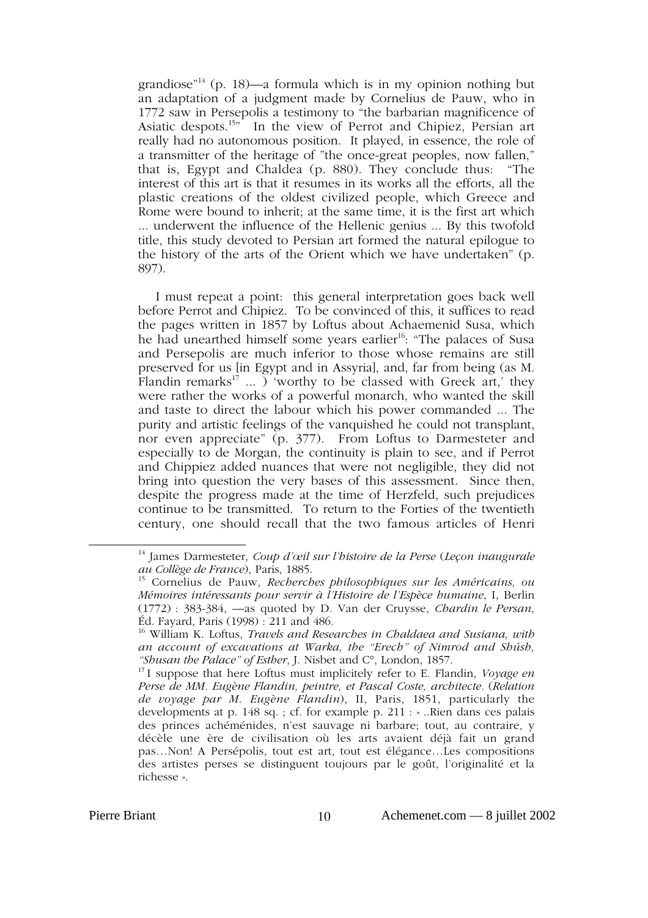grandiose<sup> $n<sup>14</sup>$  (p. 18)—a formula which is in my opinion nothing but</sup> an adaptation of a judgment made by Cornelius de Pauw, who in 1772 saw in Persepolis a testimony to "the barbarian magnificence of Asiatic despots.<sup>15"</sup> In the view of Perrot and Chipiez, Persian art really had no autonomous position. It played, in essence, the role of a transmitter of the heritage of "the once-great peoples, now fallen," that is, Egypt and Chaldea (p. 880). They conclude thus: "The interest of this art is that it resumes in its works all the efforts, all the plastic creations of the oldest civilized people, which Greece and Rome were bound to inherit; at the same time, it is the first art which ... underwent the influence of the Hellenic genius ... By this twofold title, this study devoted to Persian art formed the natural epilogue to the history of the arts of the Orient which we have undertaken" (p. 897).

I must repeat a point: this general interpretation goes back well before Perrot and Chipiez. To be convinced of this, it suffices to read the pages written in 1857 by Loftus about Achaemenid Susa, which he had unearthed himself some years earlier<sup>16</sup>: "The palaces of Susa and Persepolis are much inferior to those whose remains are still preserved for us [in Egypt and in Assyria], and, far from being (as M. Flandin remarks<sup>17</sup> ... ) 'worthy to be classed with Greek art,' they were rather the works of a powerful monarch, who wanted the skill and taste to direct the labour which his power commanded ... The purity and artistic feelings of the vanquished he could not transplant, nor even appreciate" (p. 377). From Loftus to Darmesteter and especially to de Morgan, the continuity is plain to see, and if Perrot and Chippiez added nuances that were not negligible, they did not bring into question the very bases of this assessment. Since then, despite the progress made at the time of Herzfeld, such prejudices continue to be transmitted. To return to the Forties of the twentieth century, one should recall that the two famous articles of Henri

14 James Darmesteter, *Coup d'œil sur l'histoire de la Perse* (*Leçon inaugurale au Collège de France*), Paris, 1885.

<sup>15</sup> Cornelius de Pauw, *Recherches philosophiques sur les Américains, ou Mémoires intéressants pour servir à l'Histoire de l'Espèce humaine*, I, Berlin (1772) : 383-384, —as quoted by D. Van der Cruysse, *Chardin le Persan*, Éd. Fayard, Paris (1998) : 211 and 486.

<sup>16</sup> William K. Loftus, *Travels and Researches in Chaldaea and Susiana, with an account of excavations at Warka, the "Erech" of Nimrod and Shúsh, "Shusan the Palace" of Esther*, J. Nisbet and C°, London, 1857.

<sup>17</sup> I suppose that here Loftus must implicitely refer to E. Flandin, *Voyage en Perse de MM. Eugène Flandin, peintre, et Pascal Coste, architecte.* (*Relation de voyage par M. Eugène Flandin*), II, Paris, 1851, particularly the developments at p. 148 sq. ; cf. for example p. 211 : «...Rien dans ces palais des princes achéménides, n'est sauvage ni barbare; tout, au contraire, y décèle une ère de civilisation où les arts avaient déjà fait un grand pas…Non! A Persépolis, tout est art, tout est élégance…Les compositions des artistes perses se distinguent toujours par le goût, l'originalité et la richesse ».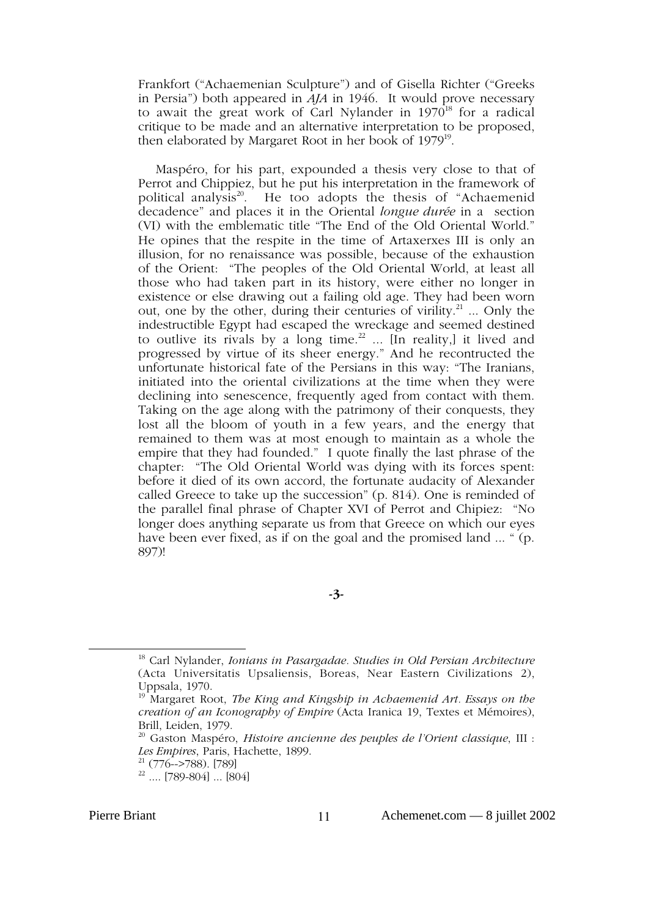Frankfort ("Achaemenian Sculpture") and of Gisella Richter ("Greeks in Persia") both appeared in *AJA* in 1946. It would prove necessary to await the great work of Carl Nylander in  $1970^{18}$  for a radical critique to be made and an alternative interpretation to be proposed, then elaborated by Margaret Root in her book of  $1979^{19}$ .

Maspéro, for his part, expounded a thesis very close to that of Perrot and Chippiez, but he put his interpretation in the framework of political analysis<sup>20</sup>. He too adopts the thesis of "Achaemenid" decadence" and places it in the Oriental *longue durée* in a section (VI) with the emblematic title "The End of the Old Oriental World." He opines that the respite in the time of Artaxerxes III is only an illusion, for no renaissance was possible, because of the exhaustion of the Orient: "The peoples of the Old Oriental World, at least all those who had taken part in its history, were either no longer in existence or else drawing out a failing old age. They had been worn out, one by the other, during their centuries of virility.<sup>21</sup> ... Only the indestructible Egypt had escaped the wreckage and seemed destined to outlive its rivals by a long time.<sup>22</sup> ... [In reality,] it lived and progressed by virtue of its sheer energy." And he recontructed the unfortunate historical fate of the Persians in this way: "The Iranians, initiated into the oriental civilizations at the time when they were declining into senescence, frequently aged from contact with them. Taking on the age along with the patrimony of their conquests, they lost all the bloom of youth in a few years, and the energy that remained to them was at most enough to maintain as a whole the empire that they had founded." I quote finally the last phrase of the chapter: "The Old Oriental World was dying with its forces spent: before it died of its own accord, the fortunate audacity of Alexander called Greece to take up the succession" (p. 814). One is reminded of the parallel final phrase of Chapter XVI of Perrot and Chipiez: "No longer does anything separate us from that Greece on which our eyes have been ever fixed, as if on the goal and the promised land ... " (p. 897)!

**-3-**

18 Carl Nylander, *Ionians in Pasargadae. Studies in Old Persian Architecture* (Acta Universitatis Upsaliensis, Boreas, Near Eastern Civilizations 2), Uppsala, 1970.

<sup>19</sup> Margaret Root, *The King and Kingship in Achaemenid Art. Essays on the creation of an Iconography of Empire* (Acta Iranica 19, Textes et Mémoires), Brill, Leiden, 1979.

<sup>20</sup> Gaston Maspéro, *Histoire ancienne des peuples de l'Orient classique*, III : Les Empires, Paris, Hachette, 1899.

 $22 (776->788)$ . [789]<br> $22 \dots$  [789-804] ... [804]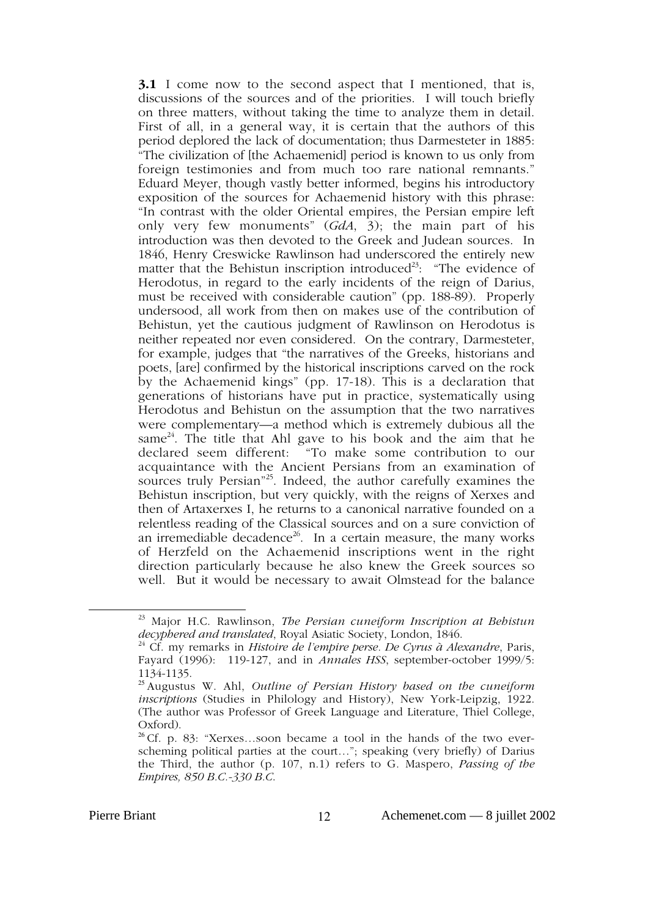**3.1** I come now to the second aspect that I mentioned, that is, discussions of the sources and of the priorities. I will touch briefly on three matters, without taking the time to analyze them in detail. First of all, in a general way, it is certain that the authors of this period deplored the lack of documentation; thus Darmesteter in 1885: "The civilization of [the Achaemenid] period is known to us only from foreign testimonies and from much too rare national remnants." Eduard Meyer, though vastly better informed, begins his introductory exposition of the sources for Achaemenid history with this phrase: "In contrast with the older Oriental empires, the Persian empire left only very few monuments" (*GdA*, 3); the main part of his introduction was then devoted to the Greek and Judean sources. In 1846, Henry Creswicke Rawlinson had underscored the entirely new matter that the Behistun inscription introduced<sup>23</sup>: "The evidence of Herodotus, in regard to the early incidents of the reign of Darius, must be received with considerable caution" (pp. 188-89). Properly undersood, all work from then on makes use of the contribution of Behistun, yet the cautious judgment of Rawlinson on Herodotus is neither repeated nor even considered. On the contrary, Darmesteter, for example, judges that "the narratives of the Greeks, historians and poets, [are] confirmed by the historical inscriptions carved on the rock by the Achaemenid kings" (pp. 17-18). This is a declaration that generations of historians have put in practice, systematically using Herodotus and Behistun on the assumption that the two narratives were complementary—a method which is extremely dubious all the same<sup>24</sup>. The title that Ahl gave to his book and the aim that he declared seem different: "To make some contribution to our acquaintance with the Ancient Persians from an examination of sources truly Persian<sup>"25</sup>. Indeed, the author carefully examines the Behistun inscription, but very quickly, with the reigns of Xerxes and then of Artaxerxes I, he returns to a canonical narrative founded on a relentless reading of the Classical sources and on a sure conviction of an irremediable decadence<sup>26</sup>. In a certain measure, the many works of Herzfeld on the Achaemenid inscriptions went in the right direction particularly because he also knew the Greek sources so well. But it would be necessary to await Olmstead for the balance

23 Major H.C. Rawlinson, *The Persian cuneiform Inscription at Behistun decyphered and translated*, Royal Asiatic Society, London, 1846.

<sup>24</sup> Cf. my remarks in *Histoire de l'empire perse. De Cyrus à Alexandre*, Paris, Fayard (1996): 119-127, and in *Annales HSS*, september-october 1999/5: 1134-1135.

<sup>25</sup> Augustus W. Ahl, *Outline of Persian History based on the cuneiform inscriptions* (Studies in Philology and History), New York-Leipzig, 1922. (The author was Professor of Greek Language and Literature, Thiel College, Oxford).

<sup>26</sup> Cf. p. 83: "Xerxes…soon became a tool in the hands of the two everscheming political parties at the court…"; speaking (very briefly) of Darius the Third, the author (p. 107, n.1) refers to G. Maspero, *Passing of the Empires, 850 B.C.-330 B.C*.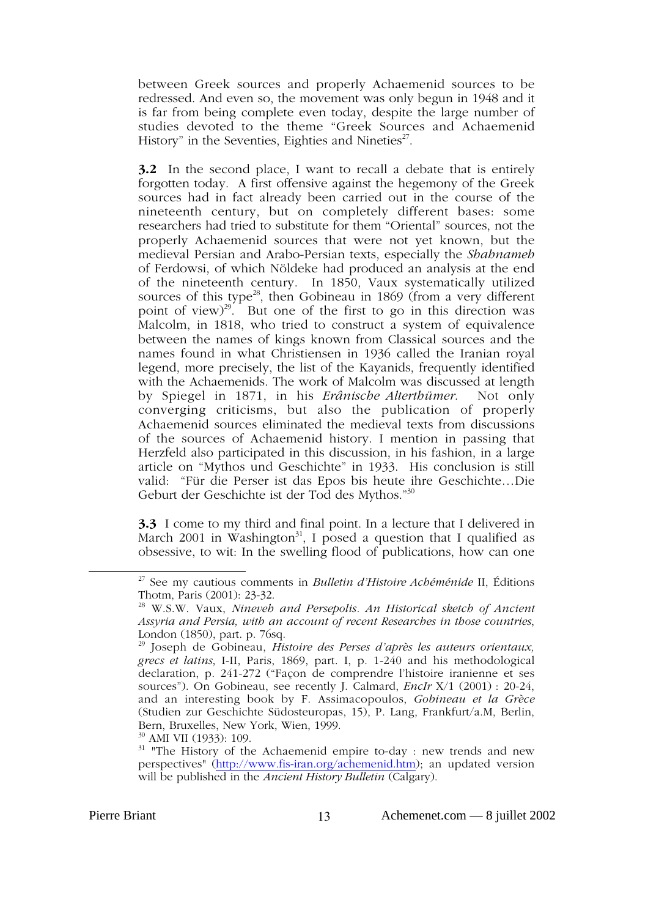between Greek sources and properly Achaemenid sources to be redressed. And even so, the movement was only begun in 1948 and it is far from being complete even today, despite the large number of studies devoted to the theme "Greek Sources and Achaemenid History" in the Seventies, Eighties and Nineties<sup>27</sup>.

**3.2** In the second place, I want to recall a debate that is entirely forgotten today. A first offensive against the hegemony of the Greek sources had in fact already been carried out in the course of the nineteenth century, but on completely different bases: some researchers had tried to substitute for them "Oriental" sources, not the properly Achaemenid sources that were not yet known, but the medieval Persian and Arabo-Persian texts, especially the *Shahnameh* of Ferdowsi, of which Nöldeke had produced an analysis at the end of the nineteenth century. In 1850, Vaux systematically utilized sources of this type<sup>28</sup>, then Gobineau in 1869 (from a very different point of view) $^{29}$ . But one of the first to go in this direction was Malcolm, in 1818, who tried to construct a system of equivalence between the names of kings known from Classical sources and the names found in what Christiensen in 1936 called the Iranian royal legend, more precisely, the list of the Kayanids, frequently identified with the Achaemenids. The work of Malcolm was discussed at length by Spiegel in 1871, in his *Erânische Alterthümer*. Not only converging criticisms, but also the publication of properly Achaemenid sources eliminated the medieval texts from discussions of the sources of Achaemenid history. I mention in passing that Herzfeld also participated in this discussion, in his fashion, in a large article on "Mythos und Geschichte" in 1933. His conclusion is still valid: "Für die Perser ist das Epos bis heute ihre Geschichte…Die Geburt der Geschichte ist der Tod des Mythos."30

**3.3** I come to my third and final point. In a lecture that I delivered in March 2001 in Washington<sup>31</sup>, I posed a question that I qualified as obsessive, to wit: In the swelling flood of publications, how can one

30 AMI VII (1933): 109.

27 See my cautious comments in *Bulletin d'Histoire Achéménide* II, Éditions Thotm, Paris (2001): 23-32.

<sup>28</sup> W.S.W. Vaux, *Nineveh and Persepolis. An Historical sketch of Ancient Assyria and Persia, with an account of recent Researches in those countries*, London (1850), part. p. 76sq.

<sup>29</sup> Joseph de Gobineau, *Histoire des Perses d'après les auteurs orientaux, grecs et latins*, I-II, Paris, 1869, part. I, p. 1-240 and his methodological declaration, p. 241-272 ("Façon de comprendre l'histoire iranienne et ses sources"). On Gobineau, see recently J. Calmard, *EncIr* X/1 (2001) : 20-24, and an interesting book by F. Assimacopoulos, *Gobineau et la Grèce* (Studien zur Geschichte Südosteuropas, 15), P. Lang, Frankfurt/a.M, Berlin, Bern, Bruxelles, New York, Wien, 1999.

 $31$  "The History of the Achaemenid empire to-day : new trends and new perspectives" (http://www.fis-iran.org/achemenid.htm); an updated version will be published in the *Ancient History Bulletin* (Calgary).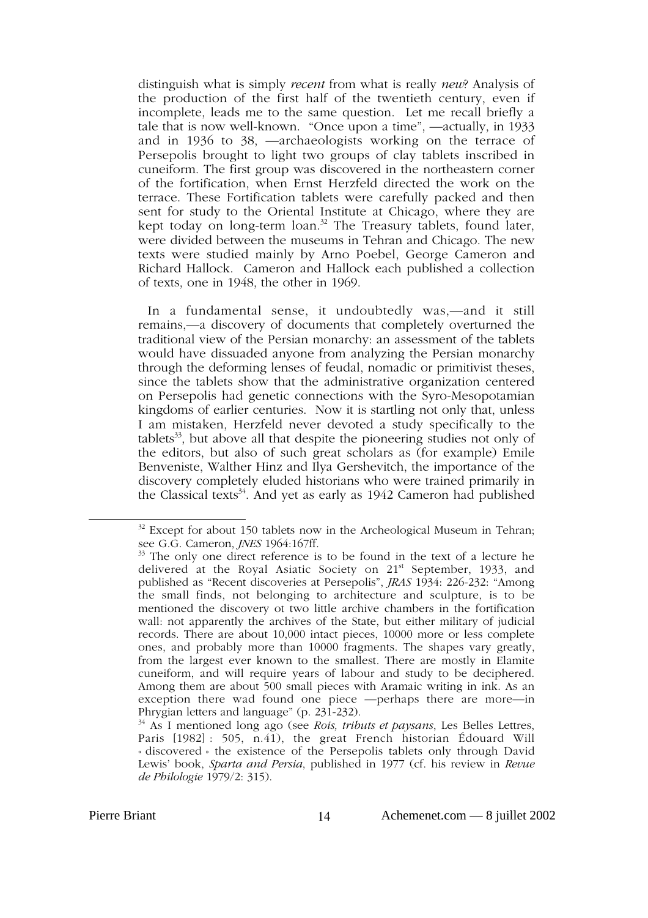distinguish what is simply *recent* from what is really *new*? Analysis of the production of the first half of the twentieth century, even if incomplete, leads me to the same question. Let me recall briefly a tale that is now well-known. "Once upon a time", —actually, in 1933 and in 1936 to 38, —archaeologists working on the terrace of Persepolis brought to light two groups of clay tablets inscribed in cuneiform. The first group was discovered in the northeastern corner of the fortification, when Ernst Herzfeld directed the work on the terrace. These Fortification tablets were carefully packed and then sent for study to the Oriental Institute at Chicago, where they are kept today on long-term loan.<sup>32</sup> The Treasury tablets, found later, were divided between the museums in Tehran and Chicago. The new texts were studied mainly by Arno Poebel, George Cameron and Richard Hallock. Cameron and Hallock each published a collection of texts, one in 1948, the other in 1969.

In a fundamental sense, it undoubtedly was,—and it still remains,—a discovery of documents that completely overturned the traditional view of the Persian monarchy: an assessment of the tablets would have dissuaded anyone from analyzing the Persian monarchy through the deforming lenses of feudal, nomadic or primitivist theses, since the tablets show that the administrative organization centered on Persepolis had genetic connections with the Syro-Mesopotamian kingdoms of earlier centuries. Now it is startling not only that, unless I am mistaken, Herzfeld never devoted a study specifically to the tablets<sup>33</sup>, but above all that despite the pioneering studies not only of the editors, but also of such great scholars as (for example) Emile Benveniste, Walther Hinz and Ilya Gershevitch, the importance of the discovery completely eluded historians who were trained primarily in the Classical texts<sup>34</sup>. And yet as early as  $1942$  Cameron had published

 $32$  Except for about 150 tablets now in the Archeological Museum in Tehran; see G.G. Cameron, *JNES* 1964:167ff.

 $33$  The only one direct reference is to be found in the text of a lecture he delivered at the Royal Asiatic Society on 21<sup>st</sup> September, 1933, and published as "Recent discoveries at Persepolis", *JRAS* 1934: 226-232: "Among the small finds, not belonging to architecture and sculpture, is to be mentioned the discovery ot two little archive chambers in the fortification wall: not apparently the archives of the State, but either military of judicial records. There are about 10,000 intact pieces, 10000 more or less complete ones, and probably more than 10000 fragments. The shapes vary greatly, from the largest ever known to the smallest. There are mostly in Elamite cuneiform, and will require years of labour and study to be deciphered. Among them are about 500 small pieces with Aramaic writing in ink. As an exception there wad found one piece —perhaps there are more—in Phrygian letters and language" (p. 231-232).

<sup>34</sup> As I mentioned long ago (see *Rois, tributs et paysans*, Les Belles Lettres, Paris [1982] : 505, n.41), the great French historian Édouard Will « discovered » the existence of the Persepolis tablets only through David Lewis' book, *Sparta and Persia*, published in 1977 (cf. his review in *Revue de Philologie* 1979/2: 315).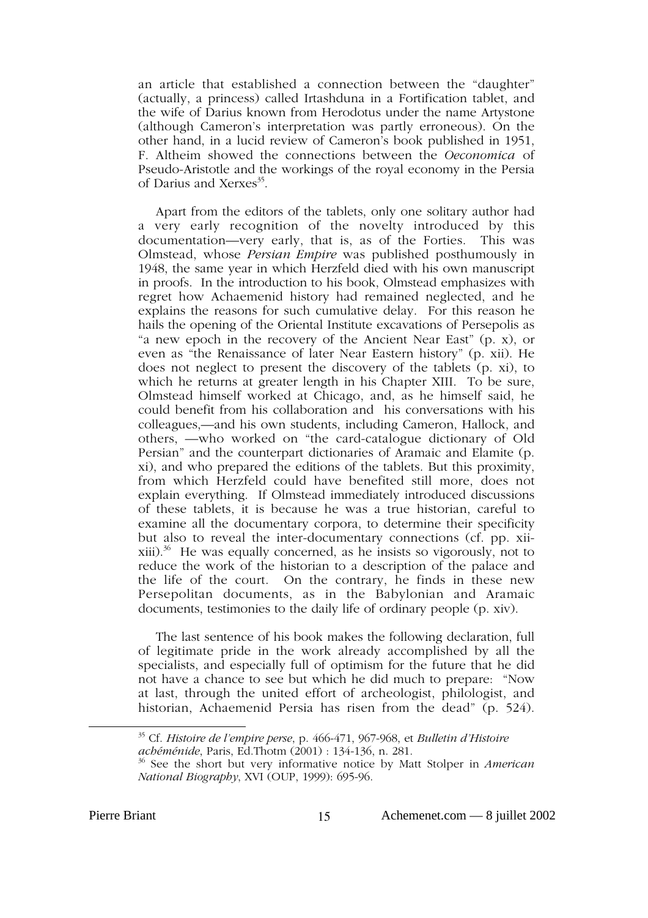an article that established a connection between the "daughter" (actually, a princess) called Irtashduna in a Fortification tablet, and the wife of Darius known from Herodotus under the name Artystone (although Cameron's interpretation was partly erroneous). On the other hand, in a lucid review of Cameron's book published in 1951, F. Altheim showed the connections between the *Oeconomica* of Pseudo-Aristotle and the workings of the royal economy in the Persia of Darius and Xerxes<sup>35</sup>.

Apart from the editors of the tablets, only one solitary author had a very early recognition of the novelty introduced by this documentation—very early, that is, as of the Forties. This was Olmstead, whose *Persian Empire* was published posthumously in 1948, the same year in which Herzfeld died with his own manuscript in proofs. In the introduction to his book, Olmstead emphasizes with regret how Achaemenid history had remained neglected, and he explains the reasons for such cumulative delay. For this reason he hails the opening of the Oriental Institute excavations of Persepolis as "a new epoch in the recovery of the Ancient Near East" (p. x), or even as "the Renaissance of later Near Eastern history" (p. xii). He does not neglect to present the discovery of the tablets (p. xi), to which he returns at greater length in his Chapter XIII. To be sure, Olmstead himself worked at Chicago, and, as he himself said, he could benefit from his collaboration and his conversations with his colleagues,—and his own students, including Cameron, Hallock, and others, —who worked on "the card-catalogue dictionary of Old Persian" and the counterpart dictionaries of Aramaic and Elamite (p. xi), and who prepared the editions of the tablets. But this proximity, from which Herzfeld could have benefited still more, does not explain everything. If Olmstead immediately introduced discussions of these tablets, it is because he was a true historian, careful to examine all the documentary corpora, to determine their specificity but also to reveal the inter-documentary connections (cf. pp. xii $xiii$ ).<sup>36</sup> He was equally concerned, as he insists so vigorously, not to reduce the work of the historian to a description of the palace and the life of the court. On the contrary, he finds in these new Persepolitan documents, as in the Babylonian and Aramaic documents, testimonies to the daily life of ordinary people (p. xiv).

The last sentence of his book makes the following declaration, full of legitimate pride in the work already accomplished by all the specialists, and especially full of optimism for the future that he did not have a chance to see but which he did much to prepare: "Now at last, through the united effort of archeologist, philologist, and historian, Achaemenid Persia has risen from the dead" (p. 524).

35 Cf. *Histoire de l'empire perse*, p. 466-471, 967-968, et *Bulletin d'Histoire achéménide*, Paris, Ed.Thotm (2001) : 134-136, n. 281.

<sup>36</sup> See the short but very informative notice by Matt Stolper in *American National Biography*, XVI (OUP, 1999): 695-96.